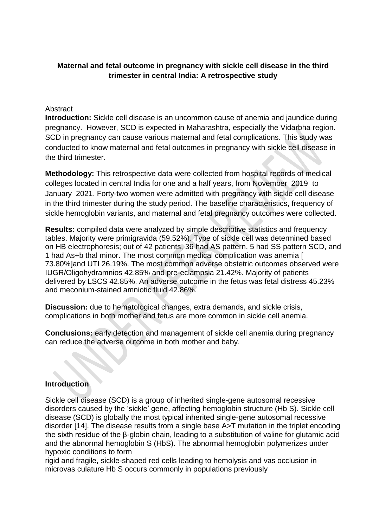# **Maternal and fetal outcome in pregnancy with sickle cell disease in the third trimester in central India: A retrospective study**

## Abstract

**Introduction:** Sickle cell disease is an uncommon cause of anemia and jaundice during pregnancy. However, SCD is expected in Maharashtra, especially the Vidarbha region. SCD in pregnancy can cause various maternal and fetal complications. This study was conducted to know maternal and fetal outcomes in pregnancy with sickle cell disease in the third trimester.

**Methodology:** This retrospective data were collected from hospital records of medical colleges located in central India for one and a half years, from November 2019 to January 2021. Forty-two women were admitted with pregnancy with sickle cell disease in the third trimester during the study period. The baseline characteristics, frequency of sickle hemoglobin variants, and maternal and fetal pregnancy outcomes were collected.

**Results:** compiled data were analyzed by simple descriptive statistics and frequency tables. Majority were primigravida (59.52%). Type of sickle cell was determined based on HB electrophoresis; out of 42 patients, 36 had AS pattern, 5 had SS pattern SCD, and 1 had As+b thal minor. The most common medical complication was anemia [ 73.80%]and UTI 26.19%. The most common adverse obstetric outcomes observed were IUGR/Oligohydramnios 42.85% and pre-eclampsia 21.42%. Majority of patients delivered by LSCS 42.85%. An adverse outcome in the fetus was fetal distress 45.23% and meconium-stained amniotic fluid 42.86%.

**Discussion:** due to hematological changes, extra demands, and sickle crisis, complications in both mother and fetus are more common in sickle cell anemia.

**Conclusions:** early detection and management of sickle cell anemia during pregnancy can reduce the adverse outcome in both mother and baby.

### **Introduction**

Sickle cell disease (SCD) is a group of inherited single-gene autosomal recessive disorders caused by the 'sickle' gene, affecting hemoglobin structure (Hb S). Sickle cell disease (SCD) is globally the most typical inherited single-gene autosomal recessive disorder [14]. The disease results from a single base A>T mutation in the triplet encoding the sixth residue of the β-globin chain, leading to a substitution of valine for glutamic acid and the abnormal hemoglobin S (HbS). The abnormal hemoglobin polymerizes under hypoxic conditions to form

rigid and fragile, sickle-shaped red cells leading to hemolysis and vas occlusion in microvas culature Hb S occurs commonly in populations previously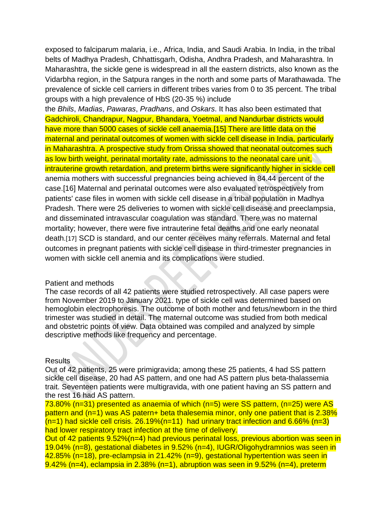exposed to falciparum malaria, i.e., Africa, India, and Saudi Arabia. In India, in the tribal belts of Madhya Pradesh, Chhattisgarh, Odisha, Andhra Pradesh, and Maharashtra. In Maharashtra, the sickle gene is widespread in all the eastern districts, also known as the Vidarbha region, in the Satpura ranges in the north and some parts of Marathawada. The prevalence of sickle cell carriers in different tribes varies from 0 to 35 percent. The tribal groups with a high prevalence of HbS (20-35 %) include

the *Bhils*, *Madias*, *Pawaras*, *Pradhans*, and *Oskars*. It has also been estimated that Gadchiroli, Chandrapur, Nagpur, Bhandara, Yoetmal, and Nandurbar districts would have more than 5000 cases of sickle cell anaemia.[15] There are little data on the maternal and perinatal outcomes of women with sickle cell disease in India, particularly in Maharashtra. A prospective study from Orissa showed that neonatal outcomes such as low birth weight, perinatal mortality rate, admissions to the neonatal care unit, intrauterine growth retardation, and preterm births were significantly higher in sickle cell anemia mothers with successful pregnancies being achieved in 84.44 percent of the case.[16] Maternal and perinatal outcomes were also evaluated retrospectively from patients' case files in women with sickle cell disease in a tribal population in Madhya Pradesh. There were 25 deliveries to women with sickle cell disease and preeclampsia, and disseminated intravascular coagulation was standard. There was no maternal mortality; however, there were five intrauterine fetal deaths and one early neonatal death.[17] SCD is standard, and our center receives many referrals. Maternal and fetal outcomes in pregnant patients with sickle cell disease in third-trimester pregnancies in women with sickle cell anemia and its complications were studied.

#### Patient and methods

The case records of all 42 patients were studied retrospectively. All case papers were from November 2019 to January 2021. type of sickle cell was determined based on hemoglobin electrophoresis. The outcome of both mother and fetus/newborn in the third trimester was studied in detail. The maternal outcome was studied from both medical and obstetric points of view. Data obtained was compiled and analyzed by simple descriptive methods like frequency and percentage.

#### **Results**

Out of 42 patients, 25 were primigravida; among these 25 patients, 4 had SS pattern sickle cell disease, 20 had AS pattern, and one had AS pattern plus beta-thalassemia trait. Seventeen patients were multigravida, with one patient having an SS pattern and the rest 16 had AS pattern.

73.80% (n=31) presented as anaemia of which (n=5) were SS pattern, (n=25) were AS pattern and (n=1) was AS patern+ beta thalesemia minor, only one patient that is 2.38%  $(n=1)$  had sickle cell crisis. 26.19%(n=11) had urinary tract infection and 6.66% (n=3) had lower respiratory tract infection at the time of delivery.

Out of 42 patients 9.52%(n=4) had previous perinatal loss, previous abortion was seen in 19.04% (n=8), gestational diabetes in 9.52% (n=4), IUGR/Oligohydramnios was seen in 42.85% (n=18), pre-eclampsia in 21.42% (n=9), gestational hypertention was seen in  $9.42\%$  (n=4), eclampsia in 2.38% (n=1), abruption was seen in 9.52% (n=4), preterm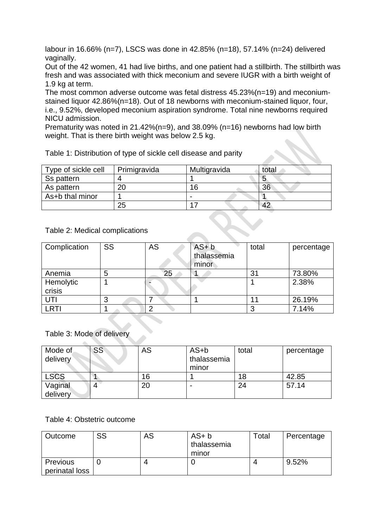labour in 16.66% (n=7), LSCS was done in 42.85% (n=18), 57.14% (n=24) delivered vaginally.

Out of the 42 women, 41 had live births, and one patient had a stillbirth. The stillbirth was fresh and was associated with thick meconium and severe IUGR with a birth weight of 1.9 kg at term.

The most common adverse outcome was fetal distress 45.23%(n=19) and meconiumstained liquor 42.86%(n=18). Out of 18 newborns with meconium-stained liquor, four, i.e., 9.52%, developed meconium aspiration syndrome. Total nine newborns required NICU admission.

Prematurity was noted in 21.42%(n=9), and 38.09% (n=16) newborns had low birth weight. That is there birth weight was below 2.5 kg.

| Type of sickle cell | Primigravida | Multigravida | total |
|---------------------|--------------|--------------|-------|
| Ss pattern          |              |              |       |
| As pattern          | 20           | 16           | 36    |
| As+b thal minor     |              |              |       |
|                     | 25           |              |       |

Table 1: Distribution of type of sickle cell disease and parity

Table 2: Medical complications

| Complication | SS | AS | $AS + b$<br>thalassemia<br>minor | total | percentage |
|--------------|----|----|----------------------------------|-------|------------|
| Anemia       | 5  | 25 |                                  | 31    | 73.80%     |
| Hemolytic    |    |    |                                  |       | 2.38%      |
| crisis       |    |    |                                  |       |            |
| UTI          | 3  |    |                                  |       | 26.19%     |
| <b>LRTI</b>  |    | n  |                                  |       | 7.14%      |

### Table 3: Mode of delivery

| Mode of<br>delivery | SS | AS | $AS+b$<br>thalassemia<br>minor | total | percentage |
|---------------------|----|----|--------------------------------|-------|------------|
| <b>LSCS</b>         |    | 16 |                                | 18    | 42.85      |
| Vaginal<br>delivery |    | 20 | ٠                              | 24    | 57.14      |

### Table 4: Obstetric outcome

| Outcome                           | SS | AS | $AS + b$<br>thalassemia<br>minor | Total | Percentage |
|-----------------------------------|----|----|----------------------------------|-------|------------|
| <b>Previous</b><br>perinatal loss |    |    |                                  |       | 9.52%      |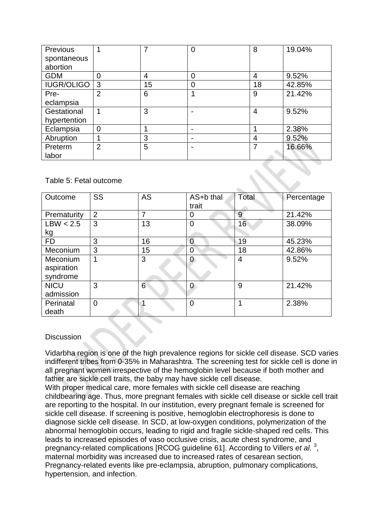| Previous          |                | ⇁  | ი | 8  | 19.04% |
|-------------------|----------------|----|---|----|--------|
| spontaneous       |                |    |   |    |        |
| abortion          |                |    |   |    |        |
| <b>GDM</b>        | $\overline{0}$ | 4  |   | 4  | 9.52%  |
| <b>IUGR/OLIGO</b> | 3              | 15 | 0 | 18 | 42.85% |
| Pre-              | $\overline{2}$ | 6  |   | 9  | 21.42% |
| eclampsia         |                |    |   |    |        |
| Gestational       | ٩              | 3  |   | 4  | 9.52%  |
| hypertention      |                |    |   |    |        |
| Eclampsia         | $\overline{0}$ |    |   |    | 2.38%  |
| Abruption         |                | 3  |   | 4  | 9.52%  |
| Preterm           | $\overline{2}$ | 5  |   |    | 16.66% |
| labor             |                |    |   |    |        |

## Table 5: Fetal outcome

| Outcome     | SS       | <b>AS</b> | AS+b thal<br>trait | Total | Percentage |
|-------------|----------|-----------|--------------------|-------|------------|
| Prematurity | 2        |           | 0                  | 9     | 21.42%     |
| LBW < 2.5   | 3        | 13        | $\overline{0}$     | 16    | 38.09%     |
| <u>kg</u>   |          |           |                    |       |            |
| <b>FD</b>   | 3        | 16        | 0                  | 19    | 45.23%     |
| Meconium    | 3        | 15        | $\overline{0}$     | 18    | 42.86%     |
| Meconium    | 1        | 3         | 0                  | 4     | 9.52%      |
| aspiration  |          |           |                    |       |            |
| syndrome    |          |           |                    |       |            |
| <b>NICU</b> | 3        | 6         | 0                  | 9     | 21.42%     |
| admission   |          |           |                    |       |            |
| Perinatal   | $\Omega$ |           | $\overline{0}$     |       | 2.38%      |
| death       |          |           |                    |       |            |

### **Discussion**

Vidarbha region is one of the high prevalence regions for sickle cell disease. SCD varies indifferent tribes from 0-35% in Maharashtra. The screening test for sickle cell is done in all pregnant women irrespective of the hemoglobin level because if both mother and father are sickle cell traits, the baby may have sickle cell disease.

With proper medical care, more females with sickle cell disease are reaching childbearing age. Thus, more pregnant females with sickle cell disease or sickle cell trait are reporting to the hospital. In our institution, every pregnant female is screened for sickle cell disease. If screening is positive, hemoglobin electrophoresis is done to diagnose sickle cell disease. In SCD, at low-oxygen conditions, polymerization of the abnormal hemoglobin occurs, leading to rigid and fragile sickle-shaped red cells. This leads to increased episodes of vaso occlusive crisis, acute chest syndrome, and pregnancy-related complications [RCOG guideline 61]. According to Villers *et al.*<sup>3</sup>, maternal morbidity was increased due to increased rates of cesarean section, Pregnancy-related events like pre-eclampsia, abruption, pulmonary complications, hypertension, and infection.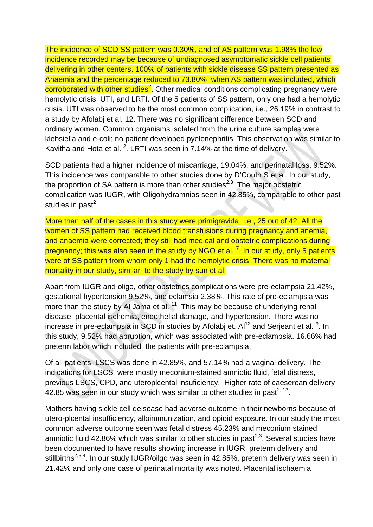The incidence of SCD SS pattern was 0.30%, and of AS pattern was 1.98% the low incidence recorded may be because of undiagnosed asymptomatic sickle cell patients delivering in other centers. 100% of patients with sickle disease SS pattern presented as Anaemia and the percentage reduced to 73.80% when AS pattern was included, which corroborated with other studies<sup>2</sup>. Other medical conditions complicating pregnancy were hemolytic crisis, UTI, and LRTI. Of the 5 patients of SS pattern, only one had a hemolytic crisis. UTI was observed to be the most common complication, i.e., 26.19% in contrast to a study by Afolabj et al. 12. There was no significant difference between SCD and ordinary women. Common organisms isolated from the urine culture samples were klebsiella and e-coli; no patient developed pyelonephritis. This observation was similar to Kavitha and Hota et al.  $^2$ . LRTI was seen in 7.14% at the time of delivery.

SCD patients had a higher incidence of miscarriage, 19.04%, and perinatal loss, 9.52%. This incidence was comparable to other studies done by D'Couth S et al. In our study, the proportion of SA pattern is more than other studies<sup>2,3</sup>. The major obstetric complication was IUGR, with Oligohydramnios seen in 42.85%, comparable to other past studies in past<sup>2</sup>.

More than half of the cases in this study were primigravida, i.e., 25 out of 42. All the women of SS pattern had received blood transfusions during pregnancy and anemia, and anaemia were corrected; they still had medical and obstetric complications during pregnancy; this was also seen in the study by NGO et al. <sup>7</sup>. In our study, only 5 patients were of SS pattern from whom only 1 had the hemolytic crisis. There was no maternal mortality in our study, similar to the study by sun et al.

Apart from IUGR and oligo, other obstetrics complications were pre-eclampsia 21.42%, gestational hypertension 9.52%, and eclamsia 2.38%. This rate of pre-eclampsia was more than the study by Al Jama et al.  $<sup>11</sup>$ . This may be because of underlying renal</sup> disease, placental ischemia, endothelial damage, and hypertension. There was no increase in pre-eclampsia in SCD in studies by Afolabj et.  $Al^{12}$  and Serjeant et al.  $9$ . In this study, 9.52% had abruption, which was associated with pre-eclampsia. 16.66% had preterm labor which included the patients with pre-eclampsia.

Of all patients, LSCS was done in 42.85%, and 57.14% had a vaginal delivery. The indications for LSCS were mostly meconium-stained amniotic fluid, fetal distress, previous LSCS, CPD, and uteroplcental insuficiency. Higher rate of caeserean delivery 42.85 was seen in our study which was similar to other studies in past<sup>2, 13</sup>.

Mothers having sickle cell deisease had adverse outcome in their newborns because of utero-plcental insufficiency, alloimmunization, and opioid exposure. In our study the most common adverse outcome seen was fetal distress 45.23% and meconium stained amniotic fluid 42.86% which was similar to other studies in past<sup>2,3</sup>. Several studies have been documented to have results showing increase in IUGR, preterm delivery and stillbirths<sup>2,3,4</sup>. In our study IUGR/oilgo was seen in 42.85%, preterm delivery was seen in 21.42% and only one case of perinatal mortality was noted. Placental ischaemia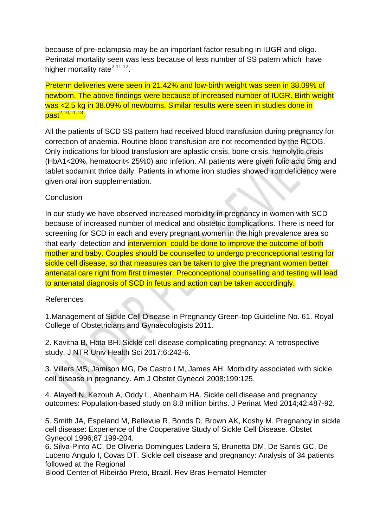because of pre-eclampsia may be an important factor resulting in IUGR and oligo. Perinatal mortality seen was less because of less number of SS patern which have higher mortality rate<sup>2,11,12</sup>.

Preterm deliveries were seen in 21.42% and low-birth weight was seen in 38.09% of newborn. The above findings were because of increased number of IUGR. Birth weight was <2.5 kg in 38.09% of newborns. Similar results were seen in studies done in past<sup>2,10,11,13</sup>.

All the patients of SCD SS pattern had received blood transfusion during pregnancy for correction of anaemia. Routine blood transfusion are not recomended by the RCOG. Only indications for blood transfusion are aplastic crisis, bone crisis, hemolytic crisis (HbA1<20%, hematocrit< 25%0) and infetion. All patients were given folic acid 5mg and tablet sodamint thrice daily. Patients in whome iron studies showed iron deficiency were given oral iron supplementation.

## **Conclusion**

In our study we have observed increased morbidity in pregnancy in women with SCD because of increased number of medical and obstetric complications. There is need for screening for SCD in each and every pregnant women in the high prevalence area so that early detection and intervention could be done to improve the outcome of both mother and baby. Couples should be counselled to undergo preconceptional testing for sickle cell disease, so that measures can be taken to give the pregnant women better antenatal care right from first trimester. Preconceptional counselling and testing will lead to antenatal diagnosis of SCD in fetus and action can be taken accordingly.

### References

1.Management of Sickle Cell Disease in Pregnancy Green‑top Guideline No. 61. Royal College of Obstetricians and Gynaecologists 2011.

2. Kavitha B, Hota BH. Sickle cell disease complicating pregnancy: A retrospective study. J NTR Univ Health Sci 2017;6:242-6.

3. Villers MS, Jamison MG, De Castro LM, James AH. Morbidity associated with sickle cell disease in pregnancy. Am J Obstet Gynecol 2008;199:125.

4. Alayed N, Kezouh A, Oddy L, Abenhaim HA. Sickle cell disease and pregnancy outcomes: Population-based study on 8.8 million births. J Perinat Med 2014;42:487-92.

5. Smith JA, Espeland M, Bellevue R, Bonds D, Brown AK, Koshy M. Pregnancy in sickle cell disease: Experience of the Cooperative Study of Sickle Cell Disease. Obstet Gynecol 1996;87:199-204.

6. Silva-Pinto AC, De Oliveria Domingues Ladeira S, Brunetta DM, De Santis GC, De Luceno Angulo I, Covas DT. Sickle cell disease and pregnancy: Analysis of 34 patients followed at the Regional

Blood Center of Ribeirão Preto, Brazil. Rev Bras Hematol Hemoter